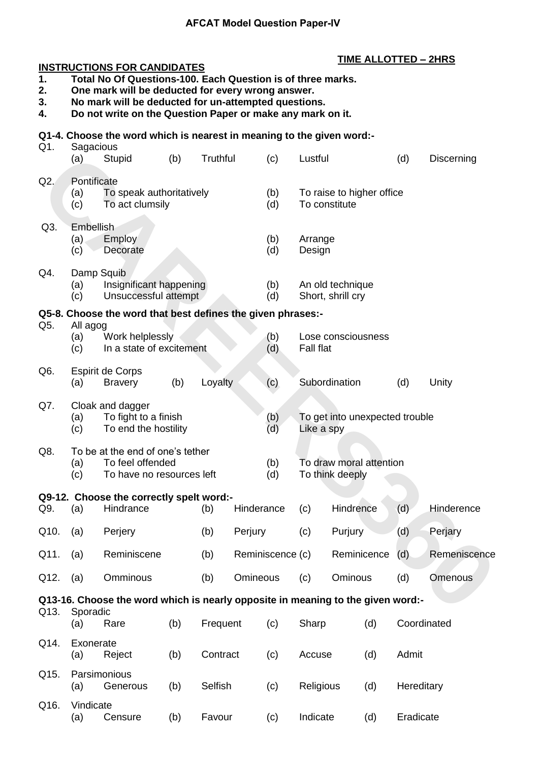## **AFCAT Model Question Paper-IV**

# **INSTRUCTIONS FOR CANDIDATES**

## **TIME ALLOTTED – 2HRS**

- **1. Total No Of Questions-100. Each Question is of three marks.**
- **2. One mark will be deducted for every wrong answer.**
- **3. No mark will be deducted for un-attempted questions.**
- **4. Do not write on the Question Paper or make any mark on it.**

## **Q1-4. Choose the word which is nearest in meaning to the given word:-**

| Q1.  | Sagacious<br>(a)          | Stupid                                                                            | (b) | Truthful |            | (c)              | Lustful                                      |               |             | (d)         | Discerning   |
|------|---------------------------|-----------------------------------------------------------------------------------|-----|----------|------------|------------------|----------------------------------------------|---------------|-------------|-------------|--------------|
| Q2.  | Pontificate<br>(a)<br>(c) | To speak authoritatively<br>To act clumsily                                       |     |          |            | (b)<br>(d)       | To raise to higher office<br>To constitute   |               |             |             |              |
| Q3.  | Embellish<br>(a).<br>(c)  | <b>Employ</b><br>Decorate                                                         |     |          |            |                  | Arrange<br>Design                            |               |             |             |              |
| Q4.  | Damp Squib<br>(a)<br>(c)  | Insignificant happening<br>Unsuccessful attempt                                   |     |          |            | (b)<br>(d)       | An old technique<br>Short, shrill cry        |               |             |             |              |
|      |                           | Q5-8. Choose the word that best defines the given phrases:-                       |     |          |            |                  |                                              |               |             |             |              |
| Q5.  | All agog<br>(a)<br>(c)    | Work helplessly<br>In a state of excitement                                       |     |          |            | (b)<br>(d)       | Lose consciousness<br><b>Fall flat</b>       |               |             |             |              |
| Q6.  | (a)                       | Espirit de Corps<br><b>Bravery</b>                                                | (b) | Loyalty  |            | (c)              |                                              | Subordination |             | (d)         | Unity        |
| Q7.  | (a)<br>(c)                | Cloak and dagger<br>To fight to a finish<br>To end the hostility                  |     |          |            | (b)<br>(d)       | To get into unexpected trouble<br>Like a spy |               |             |             |              |
| Q8.  | (a)<br>(c)                | To be at the end of one's tether<br>To feel offended<br>To have no resources left |     |          |            | (b)<br>(d)       | To draw moral attention<br>To think deeply   |               |             |             |              |
|      |                           | Q9-12. Choose the correctly spelt word:-                                          |     |          |            |                  |                                              |               |             |             |              |
| Q9.  | (a)                       | Hindrance                                                                         |     | (b)      | Hinderance |                  | (c)                                          | Hindrence     |             | (d)         | Hinderence   |
| Q10. | (a)                       | Perjery                                                                           |     | (b)      | Perjury    |                  | (c)                                          | Purjury       |             | (d)         | Perjary      |
| Q11. | (a)                       | Reminiscene                                                                       |     | (b)      |            | Reminiscence (c) |                                              |               | Reminicence | (d)         | Remeniscence |
| Q12. | (a)                       | Omminous                                                                          |     | (b)      | Omineous   |                  | (c)                                          | Ominous       |             | (d)         | Omenous      |
|      |                           | Q13-16. Choose the word which is nearly opposite in meaning to the given word:-   |     |          |            |                  |                                              |               |             |             |              |
| Q13. | Sporadic<br>(a)           | Rare                                                                              | (b) | Frequent |            | (c)              | Sharp                                        |               | (d)         | Coordinated |              |
| Q14. | Exonerate<br>(a)          | Reject                                                                            | (b) | Contract |            | (c)              | Accuse                                       |               | (d)         | Admit       |              |
| Q15. | (a)                       | Parsimonious<br>Generous                                                          | (b) | Selfish  |            | (c)              | Religious                                    |               | (d)         | Hereditary  |              |
| Q16. | Vindicate<br>(a)          | Censure                                                                           | (b) | Favour   |            | (c)              | Indicate                                     |               | (d)         | Eradicate   |              |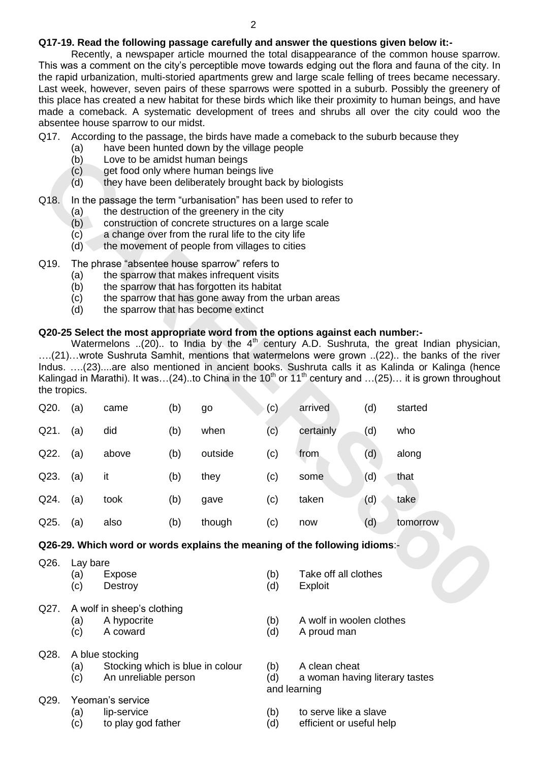## **Q17-19. Read the following passage carefully and answer the questions given below it:-**

Recently, a newspaper article mourned the total disappearance of the common house sparrow. This was a comment on the city"s perceptible move towards edging out the flora and fauna of the city. In the rapid urbanization, multi-storied apartments grew and large scale felling of trees became necessary. Last week, however, seven pairs of these sparrows were spotted in a suburb. Possibly the greenery of this place has created a new habitat for these birds which like their proximity to human beings, and have made a comeback. A systematic development of trees and shrubs all over the city could woo the absentee house sparrow to our midst.

#### Q17. According to the passage, the birds have made a comeback to the suburb because they

- (a) have been hunted down by the village people
- (b) Love to be amidst human beings
- (c) get food only where human beings live
- (d) they have been deliberately brought back by biologists

#### Q18. In the passage the term "urbanisation" has been used to refer to

- (a) the destruction of the greenery in the city
- (b) construction of concrete structures on a large scale
- (c) a change over from the rural life to the city life
- (d) the movement of people from villages to cities
- Q19. The phrase "absentee house sparrow" refers to
	- (a) the sparrow that makes infrequent visits
	- (b) the sparrow that has forgotten its habitat
	- (c) the sparrow that has gone away from the urban areas
	- (d) the sparrow that has become extinct

## **Q20-25 Select the most appropriate word from the options against each number:-**

|              | $\sim$<br>(b)<br>(c)<br>(d)                                                                                                                                                                                                                                                                                 | Love to be amidst human beings |     | get food only where human beings live<br>they have been deliberately brought back by biologists |            |                                 |     |                                                                                                                                                                                                                                                                                                                                                                                                                           |  |  |  |  |
|--------------|-------------------------------------------------------------------------------------------------------------------------------------------------------------------------------------------------------------------------------------------------------------------------------------------------------------|--------------------------------|-----|-------------------------------------------------------------------------------------------------|------------|---------------------------------|-----|---------------------------------------------------------------------------------------------------------------------------------------------------------------------------------------------------------------------------------------------------------------------------------------------------------------------------------------------------------------------------------------------------------------------------|--|--|--|--|
| Q18.         | In the passage the term "urbanisation" has been used to refer to<br>the destruction of the greenery in the city<br>(a)<br>(b)<br>construction of concrete structures on a large scale<br>a change over from the rural life to the city life<br>(c)<br>the movement of people from villages to cities<br>(d) |                                |     |                                                                                                 |            |                                 |     |                                                                                                                                                                                                                                                                                                                                                                                                                           |  |  |  |  |
| Q19.         | The phrase "absentee house sparrow" refers to<br>the sparrow that makes infrequent visits<br>(a)<br>the sparrow that has forgotten its habitat<br>(b)<br>the sparrow that has gone away from the urban areas<br>(c)<br>the sparrow that has become extinct<br>(d)                                           |                                |     |                                                                                                 |            |                                 |     |                                                                                                                                                                                                                                                                                                                                                                                                                           |  |  |  |  |
| the tropics. |                                                                                                                                                                                                                                                                                                             |                                |     | Q20-25 Select the most appropriate word from the options against each number:-                  |            |                                 |     | Watermelons (20) to India by the $4th$ century A.D. Sushruta, the great Indian physician<br>(21)wrote Sushruta Samhit, mentions that watermelons were grown (22) the banks of the river<br>Indus. (23)are also mentioned in ancient books. Sushruta calls it as Kalinda or Kalinga (hence<br>Kalingad in Marathi). It was(24)to China in the 10 <sup>th</sup> or 11 <sup>th</sup> century and (25) it is grown throughout |  |  |  |  |
| Q20.         | (a)                                                                                                                                                                                                                                                                                                         | came                           | (b) | go                                                                                              | (c)        | arrived                         | (d) | started                                                                                                                                                                                                                                                                                                                                                                                                                   |  |  |  |  |
| Q21.         | (a)                                                                                                                                                                                                                                                                                                         | did                            | (b) | when                                                                                            | (c)        | certainly                       | (d) | who                                                                                                                                                                                                                                                                                                                                                                                                                       |  |  |  |  |
| Q22.         | (a)                                                                                                                                                                                                                                                                                                         | above                          | (b) | outside                                                                                         | (c)        | from                            | (d) | along                                                                                                                                                                                                                                                                                                                                                                                                                     |  |  |  |  |
| Q23.         | (a)                                                                                                                                                                                                                                                                                                         | it                             | (b) | they                                                                                            | (c)        | some                            | (d) | that                                                                                                                                                                                                                                                                                                                                                                                                                      |  |  |  |  |
| Q24.         | (a)                                                                                                                                                                                                                                                                                                         | took                           | (b) | gave                                                                                            | (c)        | taken                           | (d) | take                                                                                                                                                                                                                                                                                                                                                                                                                      |  |  |  |  |
| Q25.         | (a)                                                                                                                                                                                                                                                                                                         | also                           | (b) | though                                                                                          | (c)        | now                             | (d) | tomorrow                                                                                                                                                                                                                                                                                                                                                                                                                  |  |  |  |  |
|              |                                                                                                                                                                                                                                                                                                             |                                |     | Q26-29. Which word or words explains the meaning of the following idioms:-                      |            |                                 |     |                                                                                                                                                                                                                                                                                                                                                                                                                           |  |  |  |  |
| Q26.         | Lay bare<br>(a)<br>(c)                                                                                                                                                                                                                                                                                      | Expose<br>Destroy              |     |                                                                                                 | (b)<br>(d) | Take off all clothes<br>Exploit |     |                                                                                                                                                                                                                                                                                                                                                                                                                           |  |  |  |  |
| Q27.         | A wolf in sheep's clothing                                                                                                                                                                                                                                                                                  |                                |     |                                                                                                 |            |                                 |     |                                                                                                                                                                                                                                                                                                                                                                                                                           |  |  |  |  |

#### **Q26-29. Which word or words explains the meaning of the following idioms**:-

| Q26. | Lay bare |
|------|----------|
|------|----------|

- 
- (c) Destroy (d) Exploit
- Q27. A wolf in sheep's clothing
	- -

## Q28. A blue stocking

- (a) Stocking which is blue in colour (b) A clean cheat (c) An unreliable person (d) a woman havir
- 
- Q29. Yeoman's service
	- -
- (a) Expose (b) Take off all clothes
	-
- (a) A hypocrite (b) A wolf in woolen clothes
- (c) A coward (d) A proud man
	-
- (c) An unreliable person (d) a woman having literary tastes and learning
- (a) lip-service (b) to serve like a slave
- (c) to play god father (d) efficient or useful help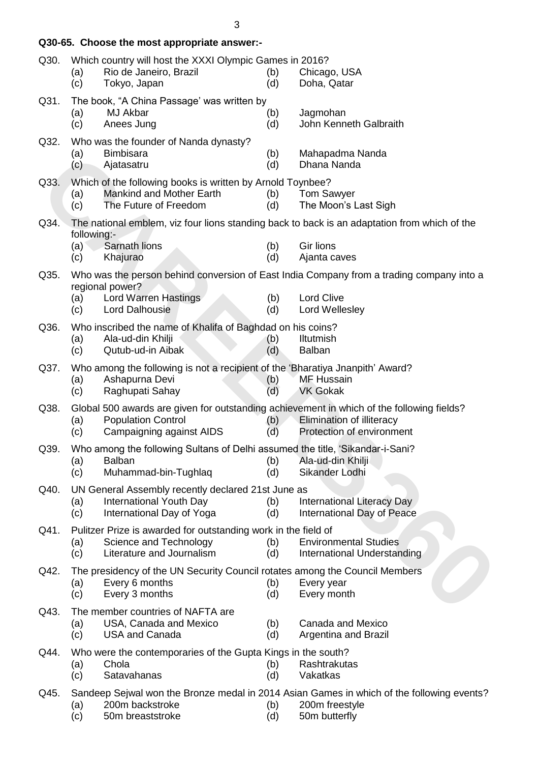|      | Q30-65. Choose the most appropriate answer:-                                                                                                                                                    |                                                             |
|------|-------------------------------------------------------------------------------------------------------------------------------------------------------------------------------------------------|-------------------------------------------------------------|
| Q30. | Which country will host the XXXI Olympic Games in 2016?<br>Rio de Janeiro, Brazil<br>(a)<br>(b)<br>Tokyo, Japan<br>(d)<br>(c)                                                                   | Chicago, USA<br>Doha, Qatar                                 |
| Q31. | The book, "A China Passage' was written by<br>MJ Akbar<br>(a)<br>(b)<br>(c)<br>Anees Jung<br>(d)                                                                                                | Jagmohan<br>John Kenneth Galbraith                          |
| Q32. | Who was the founder of Nanda dynasty?<br><b>Bimbisara</b><br>(a)<br>(b)<br>(c)<br>Ajatasatru<br>(d)                                                                                             | Mahapadma Nanda<br>Dhana Nanda                              |
| Q33. | Which of the following books is written by Arnold Toynbee?<br><b>Mankind and Mother Earth</b><br>(b)<br>(a)<br>The Future of Freedom<br>(d)<br>(c)                                              | <b>Tom Sawyer</b><br>The Moon's Last Sigh                   |
| Q34. | The national emblem, viz four lions standing back to back is an adaptation from which of the<br>following:-<br>Sarnath lions<br>(a)<br>(b)<br>(d)<br>(c)<br>Khajurao                            | <b>Gir lions</b><br>Ajanta caves                            |
| Q35. | Who was the person behind conversion of East India Company from a trading company into a<br>regional power?<br><b>Lord Warren Hastings</b><br>(b)<br>(a)<br><b>Lord Dalhousie</b><br>(c)<br>(d) | <b>Lord Clive</b><br>Lord Wellesley                         |
| Q36. | Who inscribed the name of Khalifa of Baghdad on his coins?<br>Ala-ud-din Khilji<br>(b)<br>(a)<br>Qutub-ud-in Aibak<br>(c)<br>(d)                                                                | <b>Iltutmish</b><br><b>Balban</b>                           |
| Q37. | Who among the following is not a recipient of the 'Bharatiya Jnanpith' Award?<br>Ashapurna Devi<br>(a)<br>(b)<br>(d)<br>(c)<br>Raghupati Sahay                                                  | <b>MF Hussain</b><br><b>VK Gokak</b>                        |
| Q38. | Global 500 awards are given for outstanding achievement in which of the following fields?<br><b>Population Control</b><br>(a)<br>(b)<br>Campaigning against AIDS<br>(d)<br>(c)                  | Elimination of illiteracy<br>Protection of environment      |
| Q39. | Who among the following Sultans of Delhi assumed the title, 'Sikandar-i-Sani?<br><b>Balban</b><br>(b)<br>(a)<br>Muhammad-bin-Tughlaq<br>(c)<br>(d)                                              | Ala-ud-din Khilji<br>Sikander Lodhi                         |
| Q40. | UN General Assembly recently declared 21st June as<br>International Youth Day<br>(a)<br>(b)<br>International Day of Yoga<br>(c)<br>(d)                                                          | International Literacy Day<br>International Day of Peace    |
| Q41. | Pulitzer Prize is awarded for outstanding work in the field of<br>Science and Technology<br>(a)<br>(b)<br>Literature and Journalism<br>(c)<br>(d)                                               | <b>Environmental Studies</b><br>International Understanding |
| Q42. | The presidency of the UN Security Council rotates among the Council Members<br>Every 6 months<br>(b)<br>(a)<br>(c)<br>Every 3 months<br>(d)                                                     | Every year<br>Every month                                   |
| Q43. | The member countries of NAFTA are<br>USA, Canada and Mexico<br>(a)<br>(b)<br><b>USA and Canada</b><br>(c)<br>(d)                                                                                | Canada and Mexico<br>Argentina and Brazil                   |
| Q44. | Who were the contemporaries of the Gupta Kings in the south?<br>Chola<br>(a)<br>(b)<br>Satavahanas<br>(d)<br>(c)                                                                                | Rashtrakutas<br>Vakatkas                                    |
| Q45. | Sandeep Sejwal won the Bronze medal in 2014 Asian Games in which of the following events?<br>(a)<br>200m hacketroke<br>(h)                                                                      | 200m freestyle                                              |

(a) 200m backstroke (b) 200m freestyle<br>(c) 50m breaststroke (d) 50m butterfly 50m breaststroke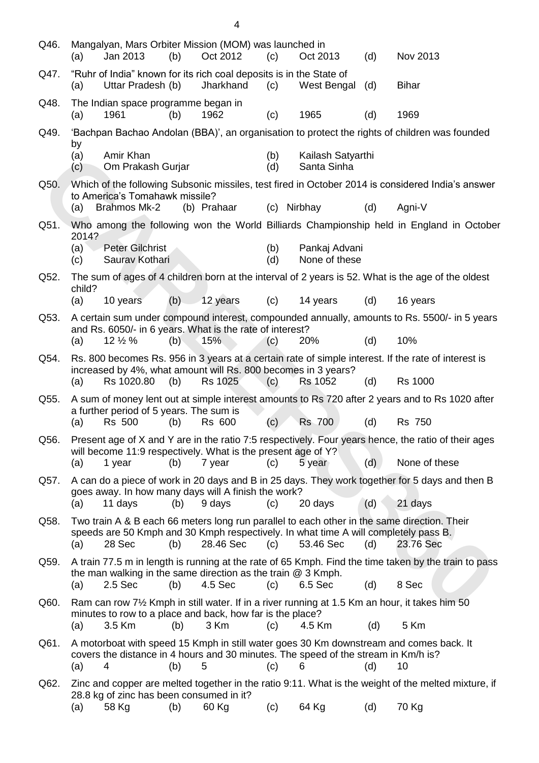| Q46. | Mangalyan, Mars Orbiter Mission (MOM) was launched in<br>Jan 2013<br>(b)<br>(a)                                                                                                                 | Oct 2012    | (c)        | Oct 2013                         | (d) | Nov 2013                                                                                |
|------|-------------------------------------------------------------------------------------------------------------------------------------------------------------------------------------------------|-------------|------------|----------------------------------|-----|-----------------------------------------------------------------------------------------|
| Q47. | "Ruhr of India" known for its rich coal deposits is in the State of<br>Uttar Pradesh (b)<br>(a)                                                                                                 | Jharkhand   | (c)        | West Bengal                      | (d) | <b>Bihar</b>                                                                            |
| Q48. | The Indian space programme began in<br>(a)<br>1961<br>(b)                                                                                                                                       | 1962        | (c)        | 1965                             | (d) | 1969                                                                                    |
| Q49. | 'Bachpan Bachao Andolan (BBA)', an organisation to protect the rights of children was founded                                                                                                   |             |            |                                  |     |                                                                                         |
|      | by<br>Amir Khan<br>(a)<br>Om Prakash Gurjar<br>(c)                                                                                                                                              |             | (b)<br>(d) | Kailash Satyarthi<br>Santa Sinha |     |                                                                                         |
| Q50. | Which of the following Subsonic missiles, test fired in October 2014 is considered India's answer<br>to America's Tomahawk missile?                                                             |             |            |                                  |     |                                                                                         |
|      | (a)<br>Brahmos Mk-2                                                                                                                                                                             | (b) Prahaar |            | (c) Nirbhay                      | (d) | Agni-V                                                                                  |
| Q51. | 2014?                                                                                                                                                                                           |             |            |                                  |     | Who among the following won the World Billiards Championship held in England in October |
|      | <b>Peter Gilchrist</b><br>(a)<br>Saurav Kothari<br>(c)                                                                                                                                          |             | (b)<br>(d) | Pankaj Advani<br>None of these   |     |                                                                                         |
| Q52. | The sum of ages of 4 children born at the interval of 2 years is 52. What is the age of the oldest<br>child?                                                                                    |             |            |                                  |     |                                                                                         |
|      | (b)<br>(a)<br>10 years                                                                                                                                                                          | 12 years    | (c)        | 14 years                         | (d) | 16 years                                                                                |
| Q53. | A certain sum under compound interest, compounded annually, amounts to Rs. 5500/- in 5 years<br>and Rs. 6050/- in 6 years. What is the rate of interest?<br>$12\frac{1}{2}\%$<br>(b)<br>(a)     | 15%         | (c)        | 20%                              | (d) | 10%                                                                                     |
| Q54. | Rs. 800 becomes Rs. 956 in 3 years at a certain rate of simple interest. If the rate of interest is                                                                                             |             |            |                                  |     |                                                                                         |
|      | increased by 4%, what amount will Rs. 800 becomes in 3 years?<br>(a)<br>Rs 1020.80<br>(b)                                                                                                       | Rs 1025     | (c)        | <b>Rs 1052</b>                   | (d) | <b>Rs 1000</b>                                                                          |
| Q55. | A sum of money lent out at simple interest amounts to Rs 720 after 2 years and to Rs 1020 after<br>a further period of 5 years. The sum is                                                      |             |            |                                  |     |                                                                                         |
|      | Rs 500<br>(a)<br>(b)                                                                                                                                                                            | Rs 600      | (c)        | <b>Rs 700</b>                    | (d) | <b>Rs 750</b>                                                                           |
| Q56. | Present age of X and Y are in the ratio 7:5 respectively. Four years hence, the ratio of their ages<br>will become 11:9 respectively. What is the present age of Y?<br>(a)<br>1 year<br>(b)     | 7 year      | (c)        | 5 year                           | (d) | None of these                                                                           |
| Q57. | A can do a piece of work in 20 days and B in 25 days. They work together for 5 days and then B                                                                                                  |             |            |                                  |     |                                                                                         |
|      | goes away. In how many days will A finish the work?<br>(a)<br>11 days<br>(b)                                                                                                                    | 9 days      | (c)        | 20 days                          | (d) | 21 days                                                                                 |
| Q58. | Two train A & B each 66 meters long run parallel to each other in the same direction. Their                                                                                                     |             |            |                                  |     |                                                                                         |
|      | speeds are 50 Kmph and 30 Kmph respectively. In what time A will completely pass B.<br>(a)<br>28 Sec<br>(b)                                                                                     | 28.46 Sec   | (c)        | 53.46 Sec                        | (d) | 23.76 Sec                                                                               |
| Q59. | A train 77.5 m in length is running at the rate of 65 Kmph. Find the time taken by the train to pass<br>the man walking in the same direction as the train $@$ 3 Kmph.<br>2.5 Sec<br>(b)<br>(a) | 4.5 Sec     | (c)        | 6.5 Sec                          | (d) | 8 Sec                                                                                   |
| Q60. | Ram can row $7\frac{1}{2}$ Kmph in still water. If in a river running at 1.5 Km an hour, it takes him 50                                                                                        |             |            |                                  |     |                                                                                         |
|      | minutes to row to a place and back, how far is the place?<br>(a)<br>3.5 Km<br>(b)                                                                                                               | 3 Km        | (c)        | 4.5 Km                           | (d) | 5 Km                                                                                    |
| Q61. | A motorboat with speed 15 Kmph in still water goes 30 Km downstream and comes back. It<br>covers the distance in 4 hours and 30 minutes. The speed of the stream in Km/h is?<br>(a)<br>4<br>(b) | 5           | (c)        | 6                                | (d) | 10                                                                                      |
| Q62. | Zinc and copper are melted together in the ratio 9:11. What is the weight of the melted mixture, if<br>28.8 kg of zinc has been consumed in it?<br>58 Kg<br>(a)<br>(b)                          | 60 Kg       | (c)        | 64 Kg                            | (d) | 70 Kg                                                                                   |

4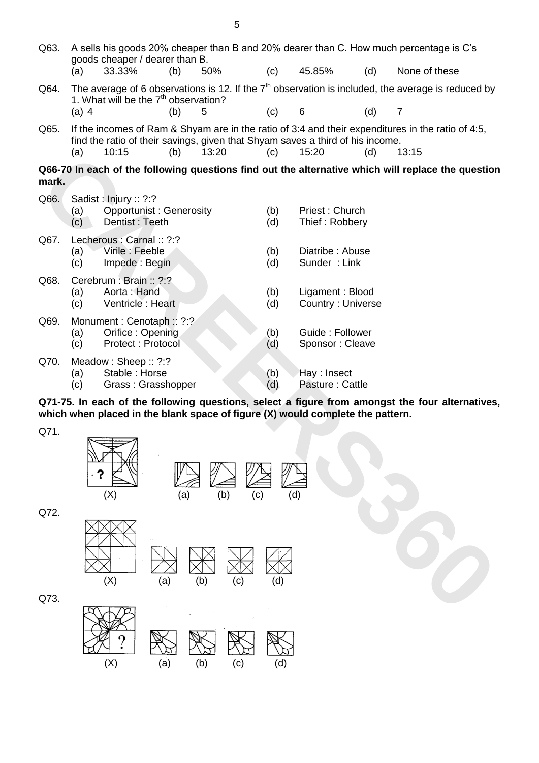| Q63.  | (a)        | goods cheaper / dearer than B.<br>33.33%         | (b) | 50%        | (c)        | 45.85%                                                                         | (d) | A sells his goods 20% cheaper than B and 20% dearer than C. How much percentage is C's<br>None of these |
|-------|------------|--------------------------------------------------|-----|------------|------------|--------------------------------------------------------------------------------|-----|---------------------------------------------------------------------------------------------------------|
| Q64.  |            |                                                  |     |            |            |                                                                                |     | The average of 6 observations is 12. If the $7th$ observation is included, the average is reduced by    |
|       |            | 1. What will be the $7th$ observation?           |     |            |            |                                                                                |     |                                                                                                         |
|       | $(a)$ 4    |                                                  | (b) | 5          | (c)        | 6                                                                              | (d) | $\overline{7}$                                                                                          |
| Q65.  |            |                                                  |     |            |            | find the ratio of their savings, given that Shyam saves a third of his income. |     | If the incomes of Ram & Shyam are in the ratio of 3:4 and their expenditures in the ratio of 4:5,       |
|       | (a)        | 10:15                                            | (b) | 13:20      | (c)        | 15:20                                                                          | (d) | 13:15                                                                                                   |
| mark. |            |                                                  |     |            |            |                                                                                |     | Q66-70 In each of the following questions find out the alternative which will replace the question      |
| Q66.  |            | Sadist: Injury: ?:?                              |     |            |            |                                                                                |     |                                                                                                         |
|       | (a)<br>(c) | <b>Opportunist: Generosity</b><br>Dentist: Teeth |     |            | (b)<br>(d) | Priest: Church<br>Thief: Robbery                                               |     |                                                                                                         |
| Q67.  |            | Lecherous : Carnal :: ?:?                        |     |            |            |                                                                                |     |                                                                                                         |
|       | (a)        | Virile: Feeble                                   |     |            | (b)        | Diatribe: Abuse                                                                |     |                                                                                                         |
|       | (c)        | Impede: Begin                                    |     |            | (d)        | Sunder: Link                                                                   |     |                                                                                                         |
| Q68.  | (a)        | Cerebrum : Brain :: ?:?<br>Aorta: Hand           |     |            | (b)        | Ligament: Blood                                                                |     |                                                                                                         |
|       | (c)        | Ventricle: Heart                                 |     |            | (d)        | Country: Universe                                                              |     |                                                                                                         |
| Q69.  |            | Monument: Cenotaph: ?:?                          |     |            |            |                                                                                |     |                                                                                                         |
|       | (a)<br>(c) | Orifice: Opening<br><b>Protect: Protocol</b>     |     |            | (b)        | Guide: Follower<br>Sponsor: Cleave                                             |     |                                                                                                         |
| Q70.  |            |                                                  |     |            | (d)        |                                                                                |     |                                                                                                         |
|       | (a)        | Meadow: Sheep:: ?:?<br>Stable: Horse             |     |            | (b)        | Hay : Insect                                                                   |     |                                                                                                         |
|       | (c)        | Grass: Grasshopper                               |     |            | (d)        | Pasture: Cattle                                                                |     |                                                                                                         |
|       |            |                                                  |     |            |            | which when placed in the blank space of figure (X) would complete the pattern. |     | Q71-75. In each of the following questions, select a figure from amongst the four alternatives,         |
| Q71.  |            |                                                  |     |            |            |                                                                                |     |                                                                                                         |
|       |            |                                                  |     |            |            |                                                                                |     |                                                                                                         |
|       |            |                                                  |     |            |            |                                                                                |     |                                                                                                         |
|       |            |                                                  |     |            |            |                                                                                |     |                                                                                                         |
|       |            | (X)                                              | (a) | (b)<br>(c) | (d)        |                                                                                |     |                                                                                                         |
| Q72.  |            |                                                  |     |            |            |                                                                                |     |                                                                                                         |
|       |            |                                                  |     |            |            |                                                                                |     |                                                                                                         |
|       |            |                                                  |     |            |            |                                                                                |     |                                                                                                         |
|       |            |                                                  |     |            |            |                                                                                |     |                                                                                                         |
|       |            | (X)<br>(a)                                       |     | (b)<br>(c) | (d)        |                                                                                |     |                                                                                                         |
| Q73.  |            |                                                  |     |            |            |                                                                                |     |                                                                                                         |
|       |            |                                                  |     |            |            |                                                                                |     |                                                                                                         |





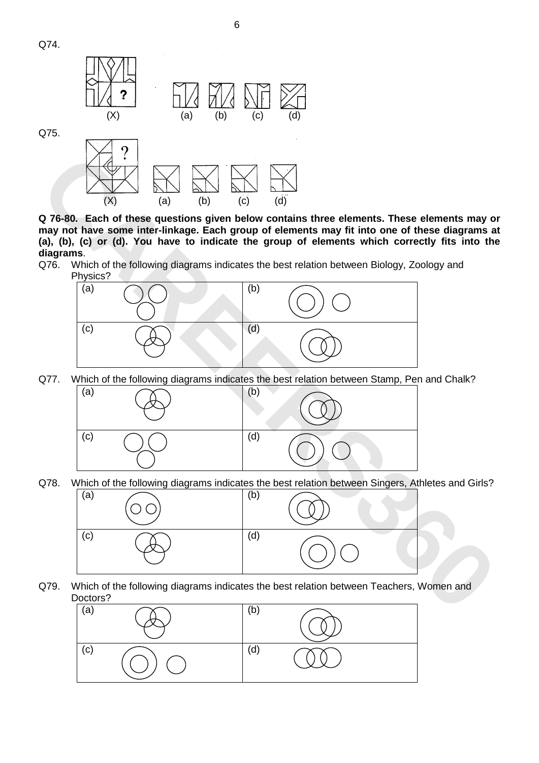



**may not have some inter-linkage. Each group of elements may fit into one of these diagrams at (a), (b), (c) or (d). You have to indicate the group of elements which correctly fits into the diagrams**.

Q76. Which of the following diagrams indicates the best relation between Biology, Zoology and Physics?



Q77. Which of the following diagrams indicates the best relation between Stamp, Pen and Chalk?



Q78. Which of the following diagrams indicates the best relation between Singers, Athletes and Girls?



Q79. Which of the following diagrams indicates the best relation between Teachers, Women and Doctors?

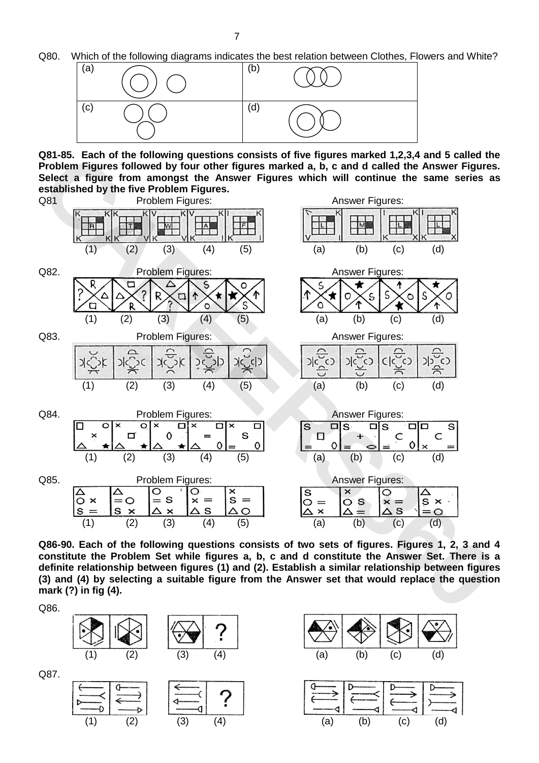Q80. Which of the following diagrams indicates the best relation between Clothes, Flowers and White?



**Q81-85. Each of the following questions consists of five figures marked 1,2,3,4 and 5 called the Problem Figures followed by four other figures marked a, b, c and d called the Answer Figures. Select a figure from amongst the Answer Figures which will continue the same series as established by the five Problem Figures.** 



**Q86-90. Each of the following questions consists of two sets of figures. Figures 1, 2, 3 and 4 constitute the Problem Set while figures a, b, c and d constitute the Answer Set. There is a definite relationship between figures (1) and (2). Establish a similar relationship between figures (3) and (4) by selecting a suitable figure from the Answer set that would replace the question mark (?) in fig (4).**

Q86.



Q87.